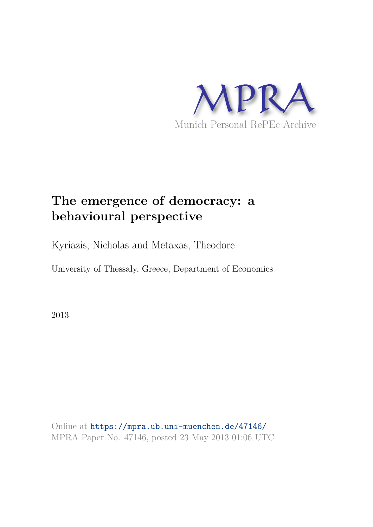

# **The emergence of democracy: a behavioural perspective**

Kyriazis, Nicholas and Metaxas, Theodore

University of Thessaly, Greece, Department of Economics

2013

Online at https://mpra.ub.uni-muenchen.de/47146/ MPRA Paper No. 47146, posted 23 May 2013 01:06 UTC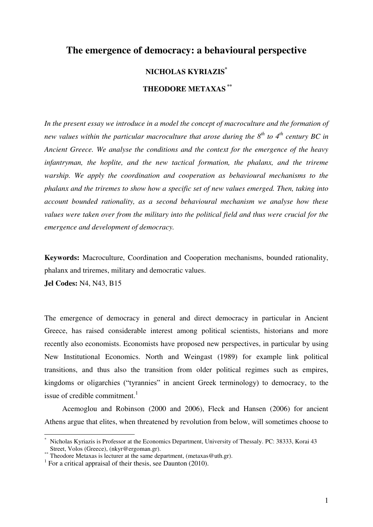# **The emergence of democracy: a behavioural perspective**

## **NICHOLAS KYRIAZIS\***

## **THEODORE METAXAS \*\***

*In the present essay we introduce in a model the concept of macroculture and the formation of new values within the particular macroculture that arose during the 8th to 4th century BC in Ancient Greece. We analyse the conditions and the context for the emergence of the heavy infantryman, the hoplite, and the new tactical formation, the phalanx, and the trireme warship. We apply the coordination and cooperation as behavioural mechanisms to the phalanx and the triremes to show how a specific set of new values emerged. Then, taking into account bounded rationality, as a second behavioural mechanism we analyse how these values were taken over from the military into the political field and thus were crucial for the emergence and development of democracy.*

**Keywords:** Macroculture, Coordination and Cooperation mechanisms, bounded rationality, phalanx and triremes, military and democratic values.

**Jel Codes:** N4, N43, B15

 $\overline{a}$ 

The emergence of democracy in general and direct democracy in particular in Ancient Greece, has raised considerable interest among political scientists, historians and more recently also economists. Economists have proposed new perspectives, in particular by using New Institutional Economics. North and Weingast (1989) for example link political transitions, and thus also the transition from older political regimes such as empires, kingdoms or oligarchies ("tyrannies" in ancient Greek terminology) to democracy, to the issue of credible commitment. $<sup>1</sup>$ </sup>

Acemoglou and Robinson (2000 and 2006), Fleck and Hansen (2006) for ancient Athens argue that elites, when threatened by revolution from below, will sometimes choose to

<sup>\*</sup> Nicholas Kyriazis is Professor at the Economics Department, University of Thessaly. PC: 38333, Korai 43 Street, Volos (Greece), (nkyr@ergoman.gr).

<sup>\*\*</sup> Theodore Metaxas is lecturer at the same department, (metaxas@uth.gr).

<sup>&</sup>lt;sup>1</sup> For a critical appraisal of their thesis, see Daunton (2010).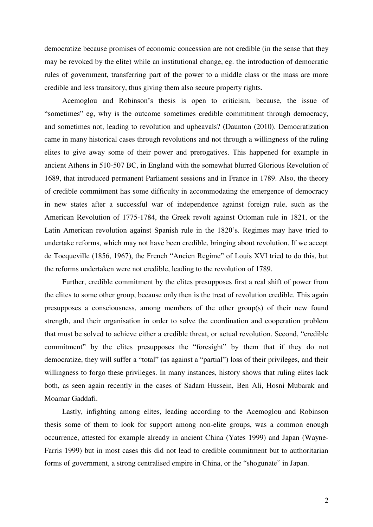democratize because promises of economic concession are not credible (in the sense that they may be revoked by the elite) while an institutional change, eg. the introduction of democratic rules of government, transferring part of the power to a middle class or the mass are more credible and less transitory, thus giving them also secure property rights.

Acemoglou and Robinson's thesis is open to criticism, because, the issue of "sometimes" eg, why is the outcome sometimes credible commitment through democracy, and sometimes not, leading to revolution and upheavals? (Daunton (2010). Democratization came in many historical cases through revolutions and not through a willingness of the ruling elites to give away some of their power and prerogatives. This happened for example in ancient Athens in 510-507 BC, in England with the somewhat blurred Glorious Revolution of 1689, that introduced permanent Parliament sessions and in France in 1789. Also, the theory of credible commitment has some difficulty in accommodating the emergence of democracy in new states after a successful war of independence against foreign rule, such as the American Revolution of 1775-1784, the Greek revolt against Ottoman rule in 1821, or the Latin American revolution against Spanish rule in the 1820's. Regimes may have tried to undertake reforms, which may not have been credible, bringing about revolution. If we accept de Tocqueville (1856, 1967), the French "Ancien Regime" of Louis XVI tried to do this, but the reforms undertaken were not credible, leading to the revolution of 1789.

Further, credible commitment by the elites presupposes first a real shift of power from the elites to some other group, because only then is the treat of revolution credible. This again presupposes a consciousness, among members of the other group(s) of their new found strength, and their organisation in order to solve the coordination and cooperation problem that must be solved to achieve either a credible threat, or actual revolution. Second, "credible commitment" by the elites presupposes the "foresight" by them that if they do not democratize, they will suffer a "total" (as against a "partial") loss of their privileges, and their willingness to forgo these privileges. In many instances, history shows that ruling elites lack both, as seen again recently in the cases of Sadam Hussein, Ben Ali, Hosni Mubarak and Moamar Gaddafi.

Lastly, infighting among elites, leading according to the Acemoglou and Robinson thesis some of them to look for support among non-elite groups, was a common enough occurrence, attested for example already in ancient China (Yates 1999) and Japan (Wayne-Farris 1999) but in most cases this did not lead to credible commitment but to authoritarian forms of government, a strong centralised empire in China, or the "shogunate" in Japan.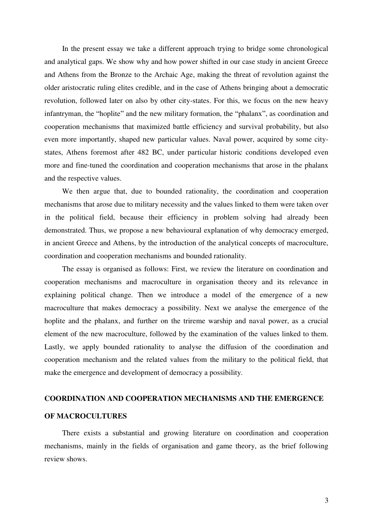In the present essay we take a different approach trying to bridge some chronological and analytical gaps. We show why and how power shifted in our case study in ancient Greece and Athens from the Bronze to the Archaic Age, making the threat of revolution against the older aristocratic ruling elites credible, and in the case of Athens bringing about a democratic revolution, followed later on also by other city-states. For this, we focus on the new heavy infantryman, the "hoplite" and the new military formation, the "phalanx", as coordination and cooperation mechanisms that maximized battle efficiency and survival probability, but also even more importantly, shaped new particular values. Naval power, acquired by some citystates, Athens foremost after 482 BC, under particular historic conditions developed even more and fine-tuned the coordination and cooperation mechanisms that arose in the phalanx and the respective values.

 We then argue that, due to bounded rationality, the coordination and cooperation mechanisms that arose due to military necessity and the values linked to them were taken over in the political field, because their efficiency in problem solving had already been demonstrated. Thus, we propose a new behavioural explanation of why democracy emerged, in ancient Greece and Athens, by the introduction of the analytical concepts of macroculture, coordination and cooperation mechanisms and bounded rationality.

The essay is organised as follows: First, we review the literature on coordination and cooperation mechanisms and macroculture in organisation theory and its relevance in explaining political change. Then we introduce a model of the emergence of a new macroculture that makes democracy a possibility. Next we analyse the emergence of the hoplite and the phalanx, and further on the trireme warship and naval power, as a crucial element of the new macroculture, followed by the examination of the values linked to them. Lastly, we apply bounded rationality to analyse the diffusion of the coordination and cooperation mechanism and the related values from the military to the political field, that make the emergence and development of democracy a possibility.

#### **COORDINATION AND COOPERATION MECHANISMS AND THE EMERGENCE**

#### **OF MACROCULTURES**

There exists a substantial and growing literature on coordination and cooperation mechanisms, mainly in the fields of organisation and game theory, as the brief following review shows.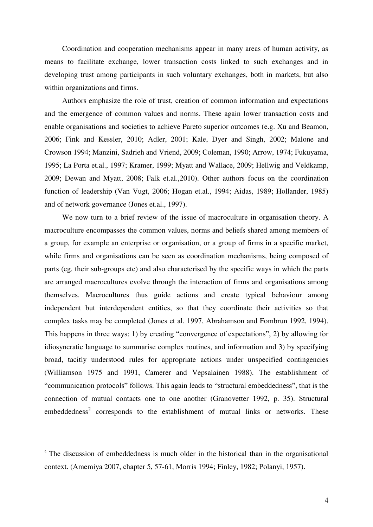Coordination and cooperation mechanisms appear in many areas of human activity, as means to facilitate exchange, lower transaction costs linked to such exchanges and in developing trust among participants in such voluntary exchanges, both in markets, but also within organizations and firms.

Authors emphasize the role of trust, creation of common information and expectations and the emergence of common values and norms. These again lower transaction costs and enable organisations and societies to achieve Pareto superior outcomes (e.g. Xu and Beamon, 2006; Fink and Kessler, 2010; Adler, 2001; Kale, Dyer and Singh, 2002; Malone and Crowson 1994; Manzini, Sadrieh and Vriend, 2009; Coleman, 1990; Arrow, 1974; Fukuyama, 1995; La Porta et.al., 1997; Kramer, 1999; Myatt and Wallace, 2009; Hellwig and Veldkamp, 2009; Dewan and Myatt, 2008; Falk et.al.,2010). Other authors focus on the coordination function of leadership (Van Vugt, 2006; Hogan et.al., 1994; Aidas, 1989; Hollander, 1985) and of network governance (Jones et.al., 1997).

We now turn to a brief review of the issue of macroculture in organisation theory. A macroculture encompasses the common values, norms and beliefs shared among members of a group, for example an enterprise or organisation, or a group of firms in a specific market, while firms and organisations can be seen as coordination mechanisms, being composed of parts (eg. their sub-groups etc) and also characterised by the specific ways in which the parts are arranged macrocultures evolve through the interaction of firms and organisations among themselves. Macrocultures thus guide actions and create typical behaviour among independent but interdependent entities, so that they coordinate their activities so that complex tasks may be completed (Jones et al. 1997, Abrahamson and Fombrun 1992, 1994). This happens in three ways: 1) by creating "convergence of expectations", 2) by allowing for idiosyncratic language to summarise complex routines, and information and 3) by specifying broad, tacitly understood rules for appropriate actions under unspecified contingencies (Williamson 1975 and 1991, Camerer and Vepsalainen 1988). The establishment of "communication protocols" follows. This again leads to "structural embeddedness", that is the connection of mutual contacts one to one another (Granovetter 1992, p. 35). Structural embeddedness<sup>2</sup> corresponds to the establishment of mutual links or networks. These

<sup>&</sup>lt;sup>2</sup> The discussion of embeddedness is much older in the historical than in the organisational context. (Amemiya 2007, chapter 5, 57-61, Morris 1994; Finley, 1982; Polanyi, 1957).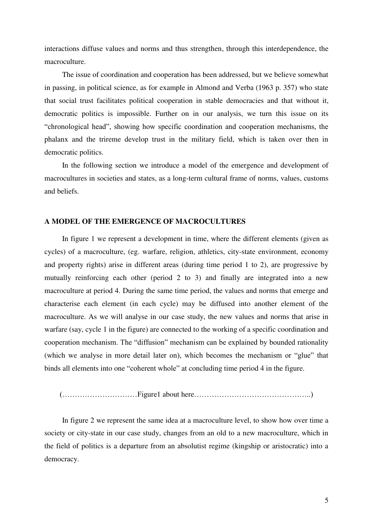interactions diffuse values and norms and thus strengthen, through this interdependence, the macroculture.

The issue of coordination and cooperation has been addressed, but we believe somewhat in passing, in political science, as for example in Almond and Verba (1963 p. 357) who state that social trust facilitates political cooperation in stable democracies and that without it, democratic politics is impossible. Further on in our analysis, we turn this issue on its "chronological head", showing how specific coordination and cooperation mechanisms, the phalanx and the trireme develop trust in the military field, which is taken over then in democratic politics.

In the following section we introduce a model of the emergence and development of macrocultures in societies and states, as a long-term cultural frame of norms, values, customs and beliefs.

#### **A MODEL OF THE EMERGENCE OF MACROCULTURES**

In figure 1 we represent a development in time, where the different elements (given as cycles) of a macroculture, (eg. warfare, religion, athletics, city-state environment, economy and property rights) arise in different areas (during time period 1 to 2), are progressive by mutually reinforcing each other (period 2 to 3) and finally are integrated into a new macroculture at period 4. During the same time period, the values and norms that emerge and characterise each element (in each cycle) may be diffused into another element of the macroculture. As we will analyse in our case study, the new values and norms that arise in warfare (say, cycle 1 in the figure) are connected to the working of a specific coordination and cooperation mechanism. The "diffusion" mechanism can be explained by bounded rationality (which we analyse in more detail later on), which becomes the mechanism or "glue" that binds all elements into one "coherent whole" at concluding time period 4 in the figure.

(…………………………Figure1 about here………………………………………..)

In figure 2 we represent the same idea at a macroculture level, to show how over time a society or city-state in our case study, changes from an old to a new macroculture, which in the field of politics is a departure from an absolutist regime (kingship or aristocratic) into a democracy.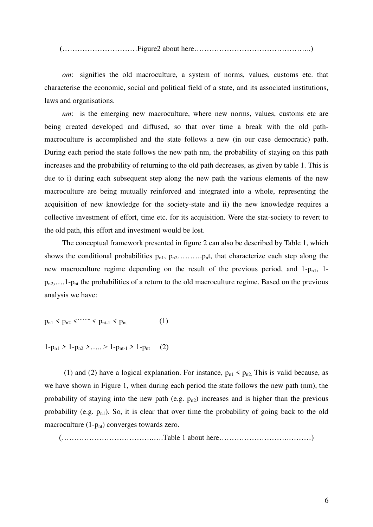(…………………………Figure2 about here………………………………………..)

*om*: signifies the old macroculture, a system of norms, values, customs etc. that characterise the economic, social and political field of a state, and its associated institutions, laws and organisations.

*nm*: is the emerging new macroculture, where new norms, values, customs etc are being created developed and diffused, so that over time a break with the old pathmacroculture is accomplished and the state follows a new (in our case democratic) path. During each period the state follows the new path nm, the probability of staying on this path increases and the probability of returning to the old path decreases, as given by table 1. This is due to i) during each subsequent step along the new path the various elements of the new macroculture are being mutually reinforced and integrated into a whole, representing the acquisition of new knowledge for the society-state and ii) the new knowledge requires a collective investment of effort, time etc. for its acquisition. Were the stat-society to revert to the old path, this effort and investment would be lost.

The conceptual framework presented in figure 2 can also be described by Table 1, which shows the conditional probabilities pn1, pn2……….pnt, that characterize each step along the new macroculture regime depending on the result of the previous period, and  $1-p_{n1}$ ,  $1-p_{n2}$  $p_{n2}$ ,... 1- $p_{nt}$  the probabilities of a return to the old macroculture regime. Based on the previous analysis we have:

 $p_{n1}$  *<*  $p_{n2}$  *<*  $\cdots$  $\cdots$  *<i><*  $p_{nt-1}$  *<*  $p_{nt}$  (1)

$$
1-p_{n1} > 1-p_{n2} > \ldots > 1-p_{nt-1} > 1-p_{nt} \qquad (2)
$$

(1) and (2) have a logical explanation. For instance,  $p_{n1}$  <  $p_{n2}$ . This is valid because, as we have shown in Figure 1, when during each period the state follows the new path (nm), the probability of staying into the new path (e.g.  $p_{n2}$ ) increases and is higher than the previous probability (e.g.  $p_{n1}$ ). So, it is clear that over time the probability of going back to the old macroculture  $(1-p_{nt})$  converges towards zero.

(……………………………….….Table 1 about here……………………….………)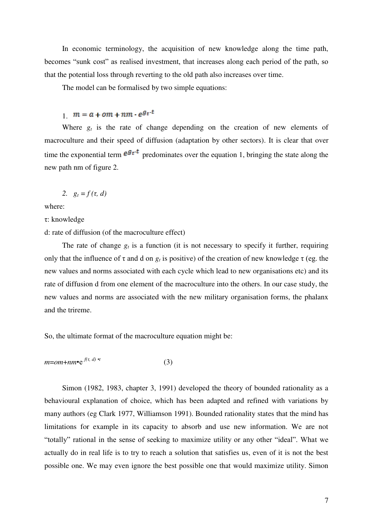In economic terminology, the acquisition of new knowledge along the time path, becomes "sunk cost" as realised investment, that increases along each period of the path, so that the potential loss through reverting to the old path also increases over time.

The model can be formalised by two simple equations:

1.  $m = a + om + nm \cdot e^{gt \cdot t}$ 

Where  $g_t$  is the rate of change depending on the creation of new elements of macroculture and their speed of diffusion (adaptation by other sectors). It is clear that over time the exponential term  $e^{gt-t}$  predominates over the equation 1, bringing the state along the new path nm of figure 2.

$$
2. \quad g_t = f(\tau, d)
$$

where:

τ: knowledge

d: rate of diffusion (of the macroculture effect)

The rate of change  $g_t$  is a function (it is not necessary to specify it further, requiring only that the influence of  $\tau$  and d on  $g_t$  is positive) of the creation of new knowledge  $\tau$  (eg. the new values and norms associated with each cycle which lead to new organisations etc) and its rate of diffusion d from one element of the macroculture into the others. In our case study, the new values and norms are associated with the new military organisation forms, the phalanx and the trireme.

So, the ultimate format of the macroculture equation might be:

$$
m=om+nm \bullet e^{f(\tau, d) \bullet t} \tag{3}
$$

Simon (1982, 1983, chapter 3, 1991) developed the theory of bounded rationality as a behavioural explanation of choice, which has been adapted and refined with variations by many authors (eg Clark 1977, Williamson 1991). Bounded rationality states that the mind has limitations for example in its capacity to absorb and use new information. We are not "totally" rational in the sense of seeking to maximize utility or any other "ideal". What we actually do in real life is to try to reach a solution that satisfies us, even of it is not the best possible one. We may even ignore the best possible one that would maximize utility. Simon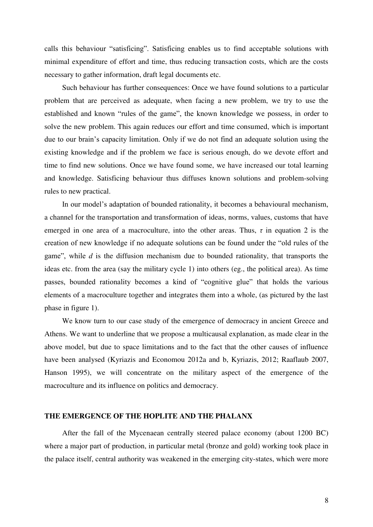calls this behaviour "satisficing". Satisficing enables us to find acceptable solutions with minimal expenditure of effort and time, thus reducing transaction costs, which are the costs necessary to gather information, draft legal documents etc.

Such behaviour has further consequences: Once we have found solutions to a particular problem that are perceived as adequate, when facing a new problem, we try to use the established and known "rules of the game", the known knowledge we possess, in order to solve the new problem. This again reduces our effort and time consumed, which is important due to our brain's capacity limitation. Only if we do not find an adequate solution using the existing knowledge and if the problem we face is serious enough, do we devote effort and time to find new solutions. Once we have found some, we have increased our total learning and knowledge. Satisficing behaviour thus diffuses known solutions and problem-solving rules to new practical.

In our model's adaptation of bounded rationality, it becomes a behavioural mechanism, a channel for the transportation and transformation of ideas, norms, values, customs that have emerged in one area of a macroculture, into the other areas. Thus,  $\tau$  in equation 2 is the creation of new knowledge if no adequate solutions can be found under the "old rules of the game", while *d* is the diffusion mechanism due to bounded rationality, that transports the ideas etc. from the area (say the military cycle 1) into others (eg., the political area). As time passes, bounded rationality becomes a kind of "cognitive glue" that holds the various elements of a macroculture together and integrates them into a whole, (as pictured by the last phase in figure 1).

We know turn to our case study of the emergence of democracy in ancient Greece and Athens. We want to underline that we propose a multicausal explanation, as made clear in the above model, but due to space limitations and to the fact that the other causes of influence have been analysed (Kyriazis and Economou 2012a and b, Kyriazis, 2012; Raaflaub 2007, Hanson 1995), we will concentrate on the military aspect of the emergence of the macroculture and its influence on politics and democracy.

#### **THE EMERGENCE OF THE HOPLITE AND THE PHALANX**

After the fall of the Mycenaean centrally steered palace economy (about 1200 BC) where a major part of production, in particular metal (bronze and gold) working took place in the palace itself, central authority was weakened in the emerging city-states, which were more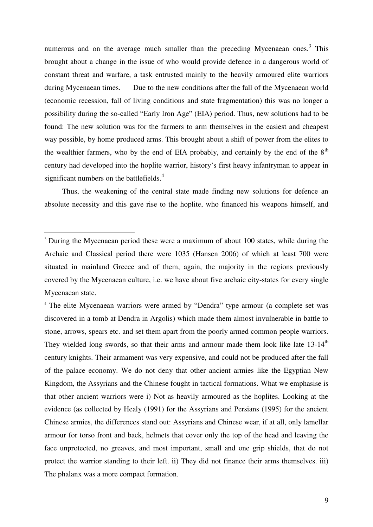numerous and on the average much smaller than the preceding Mycenaean ones.<sup>3</sup> This brought about a change in the issue of who would provide defence in a dangerous world of constant threat and warfare, a task entrusted mainly to the heavily armoured elite warriors during Mycenaean times. Due to the new conditions after the fall of the Mycenaean world (economic recession, fall of living conditions and state fragmentation) this was no longer a possibility during the so-called "Early Iron Age" (EIA) period. Thus, new solutions had to be found: The new solution was for the farmers to arm themselves in the easiest and cheapest way possible, by home produced arms. This brought about a shift of power from the elites to the wealthier farmers, who by the end of EIA probably, and certainly by the end of the  $8<sup>th</sup>$ century had developed into the hoplite warrior, history's first heavy infantryman to appear in significant numbers on the battlefields.<sup>4</sup>

Thus, the weakening of the central state made finding new solutions for defence an absolute necessity and this gave rise to the hoplite, who financed his weapons himself, and

<sup>&</sup>lt;sup>3</sup> During the Mycenaean period these were a maximum of about 100 states, while during the Archaic and Classical period there were 1035 (Hansen 2006) of which at least 700 were situated in mainland Greece and of them, again, the majority in the regions previously covered by the Mycenaean culture, i.e. we have about five archaic city-states for every single Mycenaean state.

<sup>4</sup> The elite Mycenaean warriors were armed by "Dendra" type armour (a complete set was discovered in a tomb at Dendra in Argolis) which made them almost invulnerable in battle to stone, arrows, spears etc. and set them apart from the poorly armed common people warriors. They wielded long swords, so that their arms and armour made them look like late  $13{\text -}14^{\text{th}}$ century knights. Their armament was very expensive, and could not be produced after the fall of the palace economy. We do not deny that other ancient armies like the Egyptian New Kingdom, the Assyrians and the Chinese fought in tactical formations. What we emphasise is that other ancient warriors were i) Not as heavily armoured as the hoplites. Looking at the evidence (as collected by Healy (1991) for the Assyrians and Persians (1995) for the ancient Chinese armies, the differences stand out: Assyrians and Chinese wear, if at all, only lamellar armour for torso front and back, helmets that cover only the top of the head and leaving the face unprotected, no greaves, and most important, small and one grip shields, that do not protect the warrior standing to their left. ii) They did not finance their arms themselves. iii) The phalanx was a more compact formation.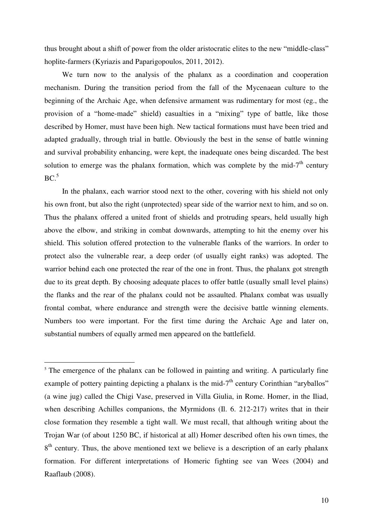thus brought about a shift of power from the older aristocratic elites to the new "middle-class" hoplite-farmers (Kyriazis and Paparigopoulos, 2011, 2012).

We turn now to the analysis of the phalanx as a coordination and cooperation mechanism. During the transition period from the fall of the Mycenaean culture to the beginning of the Archaic Age, when defensive armament was rudimentary for most (eg., the provision of a "home-made" shield) casualties in a "mixing" type of battle, like those described by Homer, must have been high. New tactical formations must have been tried and adapted gradually, through trial in battle. Obviously the best in the sense of battle winning and survival probability enhancing, were kept, the inadequate ones being discarded. The best solution to emerge was the phalanx formation, which was complete by the mid- $7<sup>th</sup>$  century  $BC<sup>5</sup>$ 

In the phalanx, each warrior stood next to the other, covering with his shield not only his own front, but also the right (unprotected) spear side of the warrior next to him, and so on. Thus the phalanx offered a united front of shields and protruding spears, held usually high above the elbow, and striking in combat downwards, attempting to hit the enemy over his shield. This solution offered protection to the vulnerable flanks of the warriors. In order to protect also the vulnerable rear, a deep order (of usually eight ranks) was adopted. The warrior behind each one protected the rear of the one in front. Thus, the phalanx got strength due to its great depth. By choosing adequate places to offer battle (usually small level plains) the flanks and the rear of the phalanx could not be assaulted. Phalanx combat was usually frontal combat, where endurance and strength were the decisive battle winning elements. Numbers too were important. For the first time during the Archaic Age and later on, substantial numbers of equally armed men appeared on the battlefield.

<sup>5</sup> The emergence of the phalanx can be followed in painting and writing. A particularly fine example of pottery painting depicting a phalanx is the mid-7<sup>th</sup> century Corinthian "aryballos" (a wine jug) called the Chigi Vase, preserved in Villa Giulia, in Rome. Homer, in the Iliad, when describing Achilles companions, the Myrmidons (Il. 6. 212-217) writes that in their close formation they resemble a tight wall. We must recall, that although writing about the Trojan War (of about 1250 BC, if historical at all) Homer described often his own times, the 8<sup>th</sup> century. Thus, the above mentioned text we believe is a description of an early phalanx formation. For different interpretations of Homeric fighting see van Wees (2004) and Raaflaub (2008).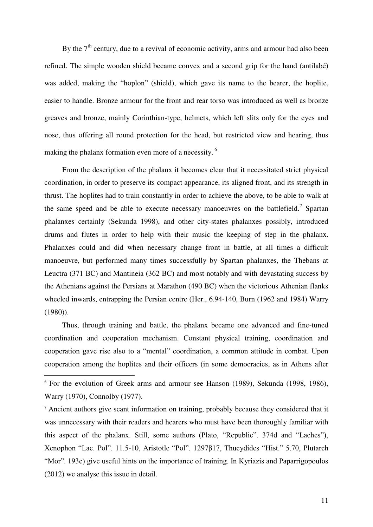By the  $7<sup>th</sup>$  century, due to a revival of economic activity, arms and armour had also been refined. The simple wooden shield became convex and a second grip for the hand (antilabé) was added, making the "hoplon" (shield), which gave its name to the bearer, the hoplite, easier to handle. Bronze armour for the front and rear torso was introduced as well as bronze greaves and bronze, mainly Corinthian-type, helmets, which left slits only for the eyes and nose, thus offering all round protection for the head, but restricted view and hearing, thus making the phalanx formation even more of a necessity.<sup>6</sup>

From the description of the phalanx it becomes clear that it necessitated strict physical coordination, in order to preserve its compact appearance, its aligned front, and its strength in thrust. The hoplites had to train constantly in order to achieve the above, to be able to walk at the same speed and be able to execute necessary manoeuvres on the battlefield.<sup>7</sup> Spartan phalanxes certainly (Sekunda 1998), and other city-states phalanxes possibly, introduced drums and flutes in order to help with their music the keeping of step in the phalanx. Phalanxes could and did when necessary change front in battle, at all times a difficult manoeuvre, but performed many times successfully by Spartan phalanxes, the Thebans at Leuctra (371 BC) and Mantineia (362 BC) and most notably and with devastating success by the Athenians against the Persians at Marathon (490 BC) when the victorious Athenian flanks wheeled inwards, entrapping the Persian centre (Her., 6.94-140, Burn (1962 and 1984) Warry (1980)).

Thus, through training and battle, the phalanx became one advanced and fine-tuned coordination and cooperation mechanism. Constant physical training, coordination and cooperation gave rise also to a "mental" coordination, a common attitude in combat. Upon cooperation among the hoplites and their officers (in some democracies, as in Athens after

<sup>6</sup> For the evolution of Greek arms and armour see Hanson (1989), Sekunda (1998, 1986), Warry (1970), Connolby (1977).

<sup>7</sup> Ancient authors give scant information on training, probably because they considered that it was unnecessary with their readers and hearers who must have been thoroughly familiar with this aspect of the phalanx. Still, some authors (Plato, "Republic". 374d and "Laches"), Xenophon "Lac. Pol". 11.5-10, Aristotle "Pol". 1297β17, Thucydides "Hist." 5.70, Plutarch "Mor". 193c) give useful hints on the importance of training. In Kyriazis and Paparrigopoulos (2012) we analyse this issue in detail.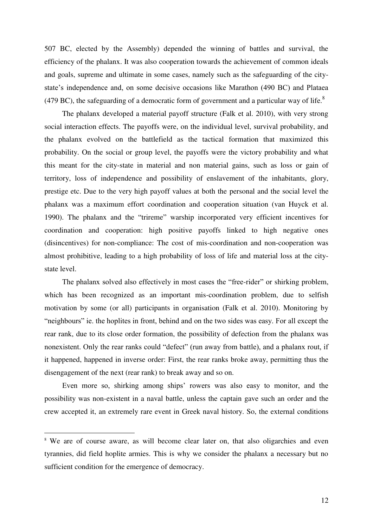507 BC, elected by the Assembly) depended the winning of battles and survival, the efficiency of the phalanx. It was also cooperation towards the achievement of common ideals and goals, supreme and ultimate in some cases, namely such as the safeguarding of the citystate's independence and, on some decisive occasions like Marathon (490 BC) and Plataea (479 BC), the safeguarding of a democratic form of government and a particular way of life.<sup>8</sup>

The phalanx developed a material payoff structure (Falk et al. 2010), with very strong social interaction effects. The payoffs were, on the individual level, survival probability, and the phalanx evolved on the battlefield as the tactical formation that maximized this probability. On the social or group level, the payoffs were the victory probability and what this meant for the city-state in material and non material gains, such as loss or gain of territory, loss of independence and possibility of enslavement of the inhabitants, glory, prestige etc. Due to the very high payoff values at both the personal and the social level the phalanx was a maximum effort coordination and cooperation situation (van Huyck et al. 1990). The phalanx and the "trireme" warship incorporated very efficient incentives for coordination and cooperation: high positive payoffs linked to high negative ones (disincentives) for non-compliance: The cost of mis-coordination and non-cooperation was almost prohibitive, leading to a high probability of loss of life and material loss at the citystate level.

The phalanx solved also effectively in most cases the "free-rider" or shirking problem, which has been recognized as an important mis-coordination problem, due to selfish motivation by some (or all) participants in organisation (Falk et al. 2010). Monitoring by "neighbours" ie. the hoplites in front, behind and on the two sides was easy. For all except the rear rank, due to its close order formation, the possibility of defection from the phalanx was nonexistent. Only the rear ranks could "defect" (run away from battle), and a phalanx rout, if it happened, happened in inverse order: First, the rear ranks broke away, permitting thus the disengagement of the next (rear rank) to break away and so on.

Even more so, shirking among ships' rowers was also easy to monitor, and the possibility was non-existent in a naval battle, unless the captain gave such an order and the crew accepted it, an extremely rare event in Greek naval history. So, the external conditions

<sup>&</sup>lt;sup>8</sup> We are of course aware, as will become clear later on, that also oligarchies and even tyrannies, did field hoplite armies. This is why we consider the phalanx a necessary but no sufficient condition for the emergence of democracy.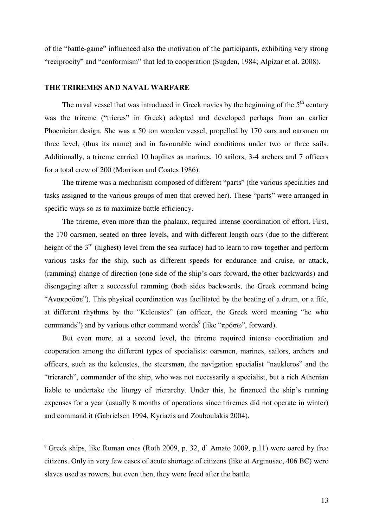of the "battle-game" influenced also the motivation of the participants, exhibiting very strong "reciprocity" and "conformism" that led to cooperation (Sugden, 1984; Alpizar et al. 2008).

#### **THE TRIREMES AND NAVAL WARFARE**

 $\overline{a}$ 

The naval vessel that was introduced in Greek navies by the beginning of the  $5<sup>th</sup>$  century was the trireme ("trieres" in Greek) adopted and developed perhaps from an earlier Phoenician design. She was a 50 ton wooden vessel, propelled by 170 oars and oarsmen on three level, (thus its name) and in favourable wind conditions under two or three sails. Additionally, a trireme carried 10 hoplites as marines, 10 sailors, 3-4 archers and 7 officers for a total crew of 200 (Morrison and Coates 1986).

The trireme was a mechanism composed of different "parts" (the various specialties and tasks assigned to the various groups of men that crewed her). These "parts" were arranged in specific ways so as to maximize battle efficiency.

The trireme, even more than the phalanx, required intense coordination of effort. First, the 170 oarsmen, seated on three levels, and with different length oars (due to the different height of the  $3<sup>rd</sup>$  (highest) level from the sea surface) had to learn to row together and perform various tasks for the ship, such as different speeds for endurance and cruise, or attack, (ramming) change of direction (one side of the ship's oars forward, the other backwards) and disengaging after a successful ramming (both sides backwards, the Greek command being "Aνακρούσε"). This physical coordination was facilitated by the beating of a drum, or a fife, at different rhythms by the "Keleustes" (an officer, the Greek word meaning "he who commands") and by various other command words<sup>9</sup> (like "πρόσω", forward).

But even more, at a second level, the trireme required intense coordination and cooperation among the different types of specialists: oarsmen, marines, sailors, archers and officers, such as the keleustes, the steersman, the navigation specialist "naukleros" and the "trierarch", commander of the ship, who was not necessarily a specialist, but a rich Athenian liable to undertake the liturgy of trierarchy. Under this, he financed the ship's running expenses for a year (usually 8 months of operations since triremes did not operate in winter) and command it (Gabrielsen 1994, Kyriazis and Zouboulakis 2004).

<sup>9</sup> Greek ships, like Roman ones (Roth 2009, p. 32, d' Amato 2009, p.11) were oared by free citizens. Only in very few cases of acute shortage of citizens (like at Arginusae, 406 BC) were slaves used as rowers, but even then, they were freed after the battle.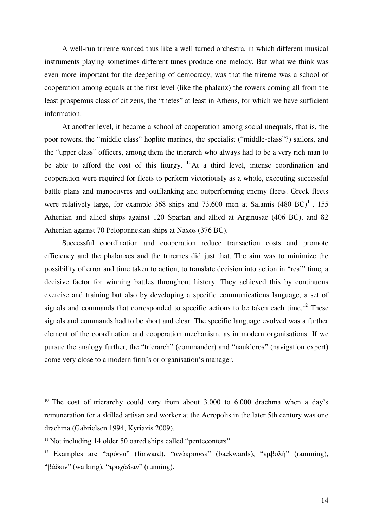A well-run trireme worked thus like a well turned orchestra, in which different musical instruments playing sometimes different tunes produce one melody. But what we think was even more important for the deepening of democracy, was that the trireme was a school of cooperation among equals at the first level (like the phalanx) the rowers coming all from the least prosperous class of citizens, the "thetes" at least in Athens, for which we have sufficient information.

At another level, it became a school of cooperation among social unequals, that is, the poor rowers, the "middle class" hoplite marines, the specialist ("middle-class"?) sailors, and the "upper class" officers, among them the trierarch who always had to be a very rich man to be able to afford the cost of this liturgy.  $^{10}$ At a third level, intense coordination and cooperation were required for fleets to perform victoriously as a whole, executing successful battle plans and manoeuvres and outflanking and outperforming enemy fleets. Greek fleets were relatively large, for example 368 ships and 73.600 men at Salamis  $(480 \text{ BC})^{11}$ , 155 Athenian and allied ships against 120 Spartan and allied at Arginusae (406 BC), and 82 Athenian against 70 Peloponnesian ships at Naxos (376 BC).

Successful coordination and cooperation reduce transaction costs and promote efficiency and the phalanxes and the triremes did just that. The aim was to minimize the possibility of error and time taken to action, to translate decision into action in "real" time, a decisive factor for winning battles throughout history. They achieved this by continuous exercise and training but also by developing a specific communications language, a set of signals and commands that corresponded to specific actions to be taken each time.<sup>12</sup> These signals and commands had to be short and clear. The specific language evolved was a further element of the coordination and cooperation mechanism, as in modern organisations. If we pursue the analogy further, the "trierarch" (commander) and "naukleros" (navigation expert) come very close to a modern firm's or organisation's manager.

<sup>&</sup>lt;sup>10</sup> The cost of trierarchy could vary from about  $3.000$  to  $6.000$  drachma when a day's remuneration for a skilled artisan and worker at the Acropolis in the later 5th century was one drachma (Gabrielsen 1994, Kyriazis 2009).

<sup>&</sup>lt;sup>11</sup> Not including 14 older 50 oared ships called "penteconters"

<sup>&</sup>lt;sup>12</sup> Examples are "πρόσω" (forward), "ανάκρουσε" (backwards), "εμβολή" (ramming), "βάδειν" (walking), "τροχάδειν" (running).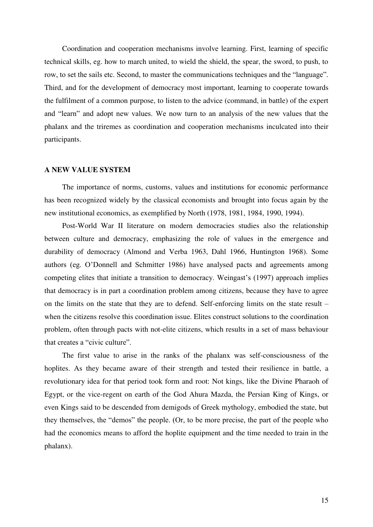Coordination and cooperation mechanisms involve learning. First, learning of specific technical skills, eg. how to march united, to wield the shield, the spear, the sword, to push, to row, to set the sails etc. Second, to master the communications techniques and the "language". Third, and for the development of democracy most important, learning to cooperate towards the fulfilment of a common purpose, to listen to the advice (command, in battle) of the expert and "learn" and adopt new values. We now turn to an analysis of the new values that the phalanx and the triremes as coordination and cooperation mechanisms inculcated into their participants.

#### **A NEW VALUE SYSTEM**

The importance of norms, customs, values and institutions for economic performance has been recognized widely by the classical economists and brought into focus again by the new institutional economics, as exemplified by North (1978, 1981, 1984, 1990, 1994).

Post-World War II literature on modern democracies studies also the relationship between culture and democracy, emphasizing the role of values in the emergence and durability of democracy (Almond and Verba 1963, Dahl 1966, Huntington 1968). Some authors (eg. O'Donnell and Schmitter 1986) have analysed pacts and agreements among competing elites that initiate a transition to democracy. Weingast's (1997) approach implies that democracy is in part a coordination problem among citizens, because they have to agree on the limits on the state that they are to defend. Self-enforcing limits on the state result – when the citizens resolve this coordination issue. Elites construct solutions to the coordination problem, often through pacts with not-elite citizens, which results in a set of mass behaviour that creates a "civic culture".

The first value to arise in the ranks of the phalanx was self-consciousness of the hoplites. As they became aware of their strength and tested their resilience in battle, a revolutionary idea for that period took form and root: Not kings, like the Divine Pharaoh of Egypt, or the vice-regent on earth of the God Ahura Mazda, the Persian King of Kings, or even Kings said to be descended from demigods of Greek mythology, embodied the state, but they themselves, the "demos" the people. (Or, to be more precise, the part of the people who had the economics means to afford the hoplite equipment and the time needed to train in the phalanx).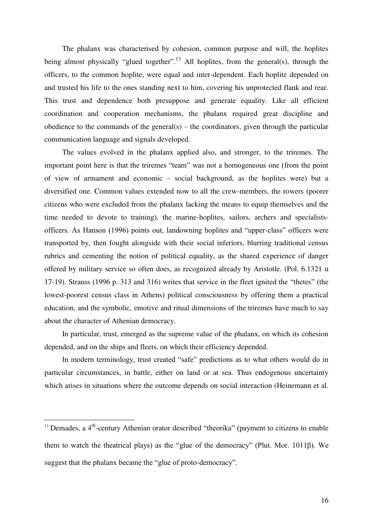The phalanx was characterised by cohesion, common purpose and will, the hoplites being almost physically "glued together".<sup>13</sup> All hoplites, from the general(s), through the officers, to the common hoplite, were equal and inter-dependent. Each hoplite depended on and trusted his life to the ones standing next to him, covering his unprotected flank and rear. This trust and dependence both presuppose and generate equality. Like all efficient coordination and cooperation mechanisms, the phalanx required great discipline and obedience to the commands of the general(s) – the coordinators, given through the particular communication language and signals developed.

The values evolved in the phalanx applied also, and stronger, to the triremes. The important point here is that the triremes "team" was not a homogeneous one (from the point of view of armament and economic – social background, as the hoplites were) but a diversified one. Common values extended now to all the crew-members, the rowers (poorer citizens who were excluded from the phalanx lacking the means to equip themselves and the time needed to devote to training), the marine-hoplites, sailors, archers and specialistsofficers. As Hanson (1996) points out, landowning hoplites and "upper-class" officers were transported by, then fought alongside with their social inferiors, blurring traditional census rubrics and cementing the notion of political equality, as the shared experience of danger offered by military service so often does, as recognized already by Aristotle. (Pol. 6.1321  $\alpha$ 17-19). Strauss (1996 p. 313 and 316) writes that service in the fleet ignited the "thetes" (the lowest-poorest census class in Athens) political consciousness by offering them a practical education, and the symbolic, emotive and ritual dimensions of the triremes have much to say about the character of Athenian democracy.

In particular, trust, emerged as the supreme value of the phalanx, on which its cohesion depended, and on the ships and fleets, on which their efficiency depended.

In modern terminology, trust created "safe" predictions as to what others would do in particular circumstances, in battle, either on land or at sea. Thus endogenous uncertainty which arises in situations where the outcome depends on social interaction (Heinemann et al.

 $13$  Demades, a  $4<sup>th</sup>$ -century Athenian orator described "theorika" (payment to citizens to enable them to watch the theatrical plays) as the "glue of the democracy" (Plut. Mor. 1011β). We suggest that the phalanx became the "glue of proto-democracy".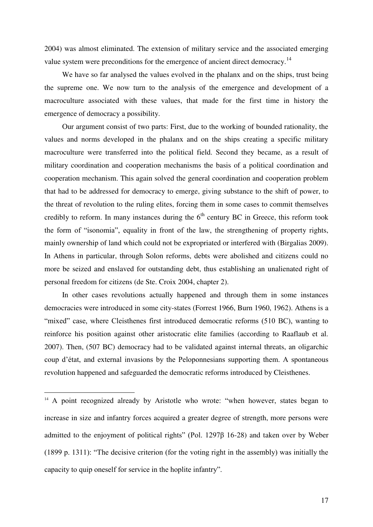2004) was almost eliminated. The extension of military service and the associated emerging value system were preconditions for the emergence of ancient direct democracy.<sup>14</sup>

We have so far analysed the values evolved in the phalanx and on the ships, trust being the supreme one. We now turn to the analysis of the emergence and development of a macroculture associated with these values, that made for the first time in history the emergence of democracy a possibility.

Our argument consist of two parts: First, due to the working of bounded rationality, the values and norms developed in the phalanx and on the ships creating a specific military macroculture were transferred into the political field. Second they became, as a result of military coordination and cooperation mechanisms the basis of a political coordination and cooperation mechanism. This again solved the general coordination and cooperation problem that had to be addressed for democracy to emerge, giving substance to the shift of power, to the threat of revolution to the ruling elites, forcing them in some cases to commit themselves credibly to reform. In many instances during the  $6<sup>th</sup>$  century BC in Greece, this reform took the form of "isonomia", equality in front of the law, the strengthening of property rights, mainly ownership of land which could not be expropriated or interfered with (Birgalias 2009). In Athens in particular, through Solon reforms, debts were abolished and citizens could no more be seized and enslaved for outstanding debt, thus establishing an unalienated right of personal freedom for citizens (de Ste. Croix 2004, chapter 2).

In other cases revolutions actually happened and through them in some instances democracies were introduced in some city-states (Forrest 1966, Burn 1960, 1962). Athens is a "mixed" case, where Cleisthenes first introduced democratic reforms (510 BC), wanting to reinforce his position against other aristocratic elite families (according to Raaflaub et al. 2007). Then, (507 BC) democracy had to be validated against internal threats, an oligarchic coup d'état, and external invasions by the Peloponnesians supporting them. A spontaneous revolution happened and safeguarded the democratic reforms introduced by Cleisthenes.

<sup>&</sup>lt;sup>14</sup> A point recognized already by Aristotle who wrote: "when however, states began to increase in size and infantry forces acquired a greater degree of strength, more persons were admitted to the enjoyment of political rights" (Pol. 1297β 16-28) and taken over by Weber (1899 p. 1311): "The decisive criterion (for the voting right in the assembly) was initially the capacity to quip oneself for service in the hoplite infantry".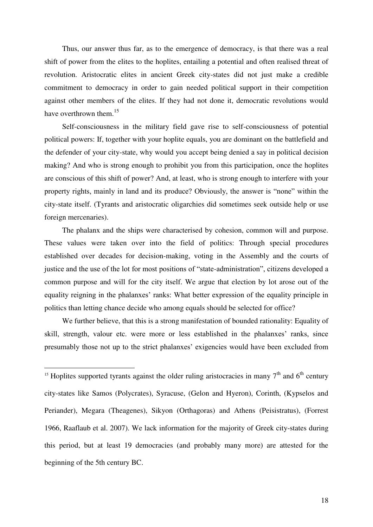Thus, our answer thus far, as to the emergence of democracy, is that there was a real shift of power from the elites to the hoplites, entailing a potential and often realised threat of revolution. Aristocratic elites in ancient Greek city-states did not just make a credible commitment to democracy in order to gain needed political support in their competition against other members of the elites. If they had not done it, democratic revolutions would have overthrown them.<sup>15</sup>

Self-consciousness in the military field gave rise to self-consciousness of potential political powers: If, together with your hoplite equals, you are dominant on the battlefield and the defender of your city-state, why would you accept being denied a say in political decision making? And who is strong enough to prohibit you from this participation, once the hoplites are conscious of this shift of power? And, at least, who is strong enough to interfere with your property rights, mainly in land and its produce? Obviously, the answer is "none" within the city-state itself. (Tyrants and aristocratic oligarchies did sometimes seek outside help or use foreign mercenaries).

The phalanx and the ships were characterised by cohesion, common will and purpose. These values were taken over into the field of politics: Through special procedures established over decades for decision-making, voting in the Assembly and the courts of justice and the use of the lot for most positions of "state-administration", citizens developed a common purpose and will for the city itself. We argue that election by lot arose out of the equality reigning in the phalanxes' ranks: What better expression of the equality principle in politics than letting chance decide who among equals should be selected for office?

 We further believe, that this is a strong manifestation of bounded rationality: Equality of skill, strength, valour etc. were more or less established in the phalanxes' ranks, since presumably those not up to the strict phalanxes' exigencies would have been excluded from

<sup>&</sup>lt;sup>15</sup> Hoplites supported tyrants against the older ruling aristocracies in many  $7<sup>th</sup>$  and  $6<sup>th</sup>$  century city-states like Samos (Polycrates), Syracuse, (Gelon and Hyeron), Corinth, (Kypselos and Periander), Megara (Theagenes), Sikyon (Orthagoras) and Athens (Peisistratus), (Forrest 1966, Raaflaub et al. 2007). We lack information for the majority of Greek city-states during this period, but at least 19 democracies (and probably many more) are attested for the beginning of the 5th century BC.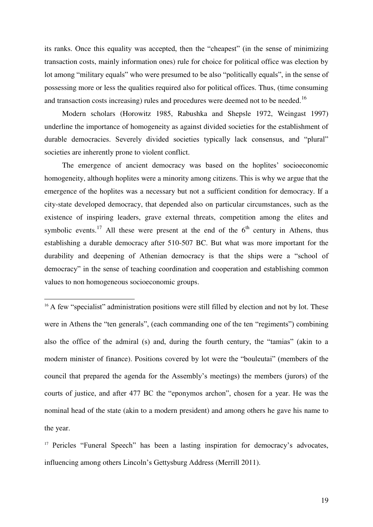its ranks. Once this equality was accepted, then the "cheapest" (in the sense of minimizing transaction costs, mainly information ones) rule for choice for political office was election by lot among "military equals" who were presumed to be also "politically equals", in the sense of possessing more or less the qualities required also for political offices. Thus, (time consuming and transaction costs increasing) rules and procedures were deemed not to be needed.<sup>16</sup>

Modern scholars (Horowitz 1985, Rabushka and Shepsle 1972, Weingast 1997) underline the importance of homogeneity as against divided societies for the establishment of durable democracies. Severely divided societies typically lack consensus, and "plural" societies are inherently prone to violent conflict.

The emergence of ancient democracy was based on the hoplites' socioeconomic homogeneity, although hoplites were a minority among citizens. This is why we argue that the emergence of the hoplites was a necessary but not a sufficient condition for democracy. If a city-state developed democracy, that depended also on particular circumstances, such as the existence of inspiring leaders, grave external threats, competition among the elites and symbolic events.<sup>17</sup> All these were present at the end of the  $6<sup>th</sup>$  century in Athens, thus establishing a durable democracy after 510-507 BC. But what was more important for the durability and deepening of Athenian democracy is that the ships were a "school of democracy" in the sense of teaching coordination and cooperation and establishing common values to non homogeneous socioeconomic groups.

<sup>16</sup> A few "specialist" administration positions were still filled by election and not by lot. These were in Athens the "ten generals", (each commanding one of the ten "regiments") combining also the office of the admiral (s) and, during the fourth century, the "tamias" (akin to a modern minister of finance). Positions covered by lot were the "bouleutai" (members of the council that prepared the agenda for the Assembly's meetings) the members (jurors) of the courts of justice, and after 477 BC the "eponymos archon", chosen for a year. He was the nominal head of the state (akin to a modern president) and among others he gave his name to the year.

 $\overline{a}$ 

<sup>17</sup> Pericles "Funeral Speech" has been a lasting inspiration for democracy's advocates, influencing among others Lincoln's Gettysburg Address (Merrill 2011).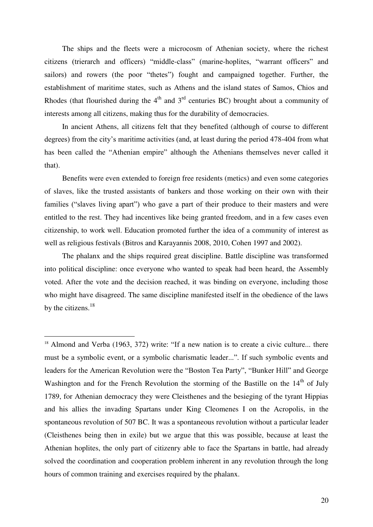The ships and the fleets were a microcosm of Athenian society, where the richest citizens (trierarch and officers) "middle-class" (marine-hoplites, "warrant officers" and sailors) and rowers (the poor "thetes") fought and campaigned together. Further, the establishment of maritime states, such as Athens and the island states of Samos, Chios and Rhodes (that flourished during the  $4<sup>th</sup>$  and  $3<sup>rd</sup>$  centuries BC) brought about a community of interests among all citizens, making thus for the durability of democracies.

In ancient Athens, all citizens felt that they benefited (although of course to different degrees) from the city's maritime activities (and, at least during the period 478-404 from what has been called the "Athenian empire" although the Athenians themselves never called it that).

Benefits were even extended to foreign free residents (metics) and even some categories of slaves, like the trusted assistants of bankers and those working on their own with their families ("slaves living apart") who gave a part of their produce to their masters and were entitled to the rest. They had incentives like being granted freedom, and in a few cases even citizenship, to work well. Education promoted further the idea of a community of interest as well as religious festivals (Bitros and Karayannis 2008, 2010, Cohen 1997 and 2002).

The phalanx and the ships required great discipline. Battle discipline was transformed into political discipline: once everyone who wanted to speak had been heard, the Assembly voted. After the vote and the decision reached, it was binding on everyone, including those who might have disagreed. The same discipline manifested itself in the obedience of the laws by the citizens. $18$ 

<sup>&</sup>lt;sup>18</sup> Almond and Verba (1963, 372) write: "If a new nation is to create a civic culture... there must be a symbolic event, or a symbolic charismatic leader...". If such symbolic events and leaders for the American Revolution were the "Boston Tea Party", "Bunker Hill" and George Washington and for the French Revolution the storming of the Bastille on the 14<sup>th</sup> of July 1789, for Athenian democracy they were Cleisthenes and the besieging of the tyrant Hippias and his allies the invading Spartans under King Cleomenes I on the Acropolis, in the spontaneous revolution of 507 BC. It was a spontaneous revolution without a particular leader (Cleisthenes being then in exile) but we argue that this was possible, because at least the Athenian hoplites, the only part of citizenry able to face the Spartans in battle, had already solved the coordination and cooperation problem inherent in any revolution through the long hours of common training and exercises required by the phalanx.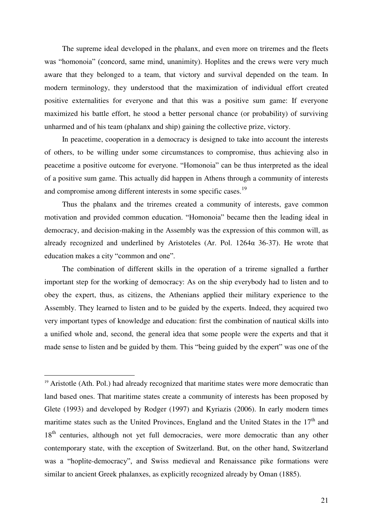The supreme ideal developed in the phalanx, and even more on triremes and the fleets was "homonoia" (concord, same mind, unanimity). Hoplites and the crews were very much aware that they belonged to a team, that victory and survival depended on the team. In modern terminology, they understood that the maximization of individual effort created positive externalities for everyone and that this was a positive sum game: If everyone maximized his battle effort, he stood a better personal chance (or probability) of surviving unharmed and of his team (phalanx and ship) gaining the collective prize, victory.

In peacetime, cooperation in a democracy is designed to take into account the interests of others, to be willing under some circumstances to compromise, thus achieving also in peacetime a positive outcome for everyone. "Homonoia" can be thus interpreted as the ideal of a positive sum game. This actually did happen in Athens through a community of interests and compromise among different interests in some specific cases.<sup>19</sup>

Thus the phalanx and the triremes created a community of interests, gave common motivation and provided common education. "Homonoia" became then the leading ideal in democracy, and decision-making in the Assembly was the expression of this common will, as already recognized and underlined by Aristoteles (Ar. Pol.  $1264\alpha$  36-37). He wrote that education makes a city "common and one".

The combination of different skills in the operation of a trireme signalled a further important step for the working of democracy: As on the ship everybody had to listen and to obey the expert, thus, as citizens, the Athenians applied their military experience to the Assembly. They learned to listen and to be guided by the experts. Indeed, they acquired two very important types of knowledge and education: first the combination of nautical skills into a unified whole and, second, the general idea that some people were the experts and that it made sense to listen and be guided by them. This "being guided by the expert" was one of the

<sup>&</sup>lt;sup>19</sup> Aristotle (Ath. Pol.) had already recognized that maritime states were more democratic than land based ones. That maritime states create a community of interests has been proposed by Glete (1993) and developed by Rodger (1997) and Kyriazis (2006). In early modern times maritime states such as the United Provinces, England and the United States in the  $17<sup>th</sup>$  and 18<sup>th</sup> centuries, although not yet full democracies, were more democratic than any other contemporary state, with the exception of Switzerland. But, on the other hand, Switzerland was a "hoplite-democracy", and Swiss medieval and Renaissance pike formations were similar to ancient Greek phalanxes, as explicitly recognized already by Oman (1885).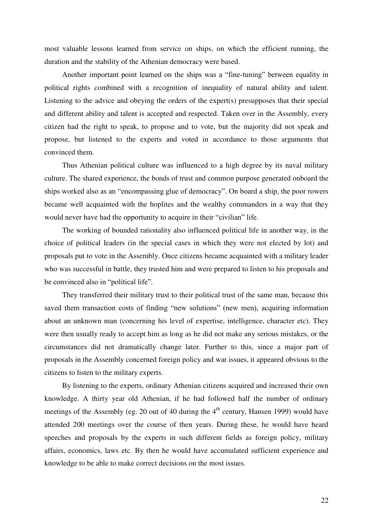most valuable lessons learned from service on ships, on which the efficient running, the duration and the stability of the Athenian democracy were based.

Another important point learned on the ships was a "fine-tuning" between equality in political rights combined with a recognition of inequality of natural ability and talent. Listening to the advice and obeying the orders of the expert(s) presupposes that their special and different ability and talent is accepted and respected. Taken over in the Assembly, every citizen had the right to speak, to propose and to vote, but the majority did not speak and propose, but listened to the experts and voted in accordance to those arguments that convinced them.

Thus Athenian political culture was influenced to a high degree by its naval military culture. The shared experience, the bonds of trust and common purpose generated onboard the ships worked also as an "encompassing glue of democracy". On board a ship, the poor rowers became well acquainted with the hoplites and the wealthy commanders in a way that they would never have had the opportunity to acquire in their "civilian" life.

The working of bounded rationality also influenced political life in another way, in the choice of political leaders (in the special cases in which they were not elected by lot) and proposals put to vote in the Assembly. Once citizens became acquainted with a military leader who was successful in battle, they trusted him and were prepared to listen to his proposals and be convinced also in "political life".

They transferred their military trust to their political trust of the same man, because this saved them transaction costs of finding "new solutions" (new men), acquiring information about an unknown man (concerning his level of expertise, intelligence, character etc). They were then usually ready to accept him as long as he did not make any serious mistakes, or the circumstances did not dramatically change later. Further to this, since a major part of proposals in the Assembly concerned foreign policy and war issues, it appeared obvious to the citizens to listen to the military experts.

By listening to the experts, ordinary Athenian citizens acquired and increased their own knowledge. A thirty year old Athenian, if he had followed half the number of ordinary meetings of the Assembly (eg. 20 out of 40 during the  $4<sup>th</sup>$  century, Hansen 1999) would have attended 200 meetings over the course of then years. During these, he would have heard speeches and proposals by the experts in such different fields as foreign policy, military affairs, economics, laws etc. By then he would have accumulated sufficient experience and knowledge to be able to make correct decisions on the most issues.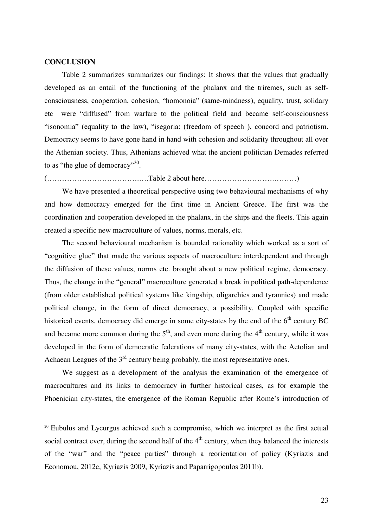#### **CONCLUSION**

 $\overline{a}$ 

Table 2 summarizes summarizes our findings: It shows that the values that gradually developed as an entail of the functioning of the phalanx and the triremes, such as selfconsciousness, cooperation, cohesion, "homonoia" (same-mindness), equality, trust, solidary etc were "diffused" from warfare to the political field and became self-consciousness "isonomia" (equality to the law), "isegoria: (freedom of speech ), concord and patriotism. Democracy seems to have gone hand in hand with cohesion and solidarity throughout all over the Athenian society. Thus, Athenians achieved what the ancient politician Demades referred to as "the glue of democracy"<sup>20</sup>.

(……………………………….….Table 2 about here……………………….………)

We have presented a theoretical perspective using two behavioural mechanisms of why and how democracy emerged for the first time in Ancient Greece. The first was the coordination and cooperation developed in the phalanx, in the ships and the fleets. This again created a specific new macroculture of values, norms, morals, etc.

The second behavioural mechanism is bounded rationality which worked as a sort of "cognitive glue" that made the various aspects of macroculture interdependent and through the diffusion of these values, norms etc. brought about a new political regime, democracy. Thus, the change in the "general" macroculture generated a break in political path-dependence (from older established political systems like kingship, oligarchies and tyrannies) and made political change, in the form of direct democracy, a possibility. Coupled with specific historical events, democracy did emerge in some city-states by the end of the  $6<sup>th</sup>$  century BC and became more common during the  $5<sup>th</sup>$ , and even more during the  $4<sup>th</sup>$  century, while it was developed in the form of democratic federations of many city-states, with the Aetolian and Achaean Leagues of the  $3<sup>rd</sup>$  century being probably, the most representative ones.

We suggest as a development of the analysis the examination of the emergence of macrocultures and its links to democracy in further historical cases, as for example the Phoenician city-states, the emergence of the Roman Republic after Rome's introduction of

<sup>&</sup>lt;sup>20</sup> Eubulus and Lycurgus achieved such a compromise, which we interpret as the first actual social contract ever, during the second half of the  $4<sup>th</sup>$  century, when they balanced the interests of the "war" and the "peace parties" through a reorientation of policy (Kyriazis and Economou, 2012c, Kyriazis 2009, Kyriazis and Paparrigopoulos 2011b).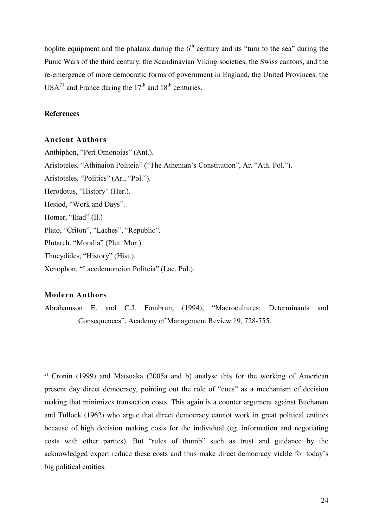hoplite equipment and the phalanx during the  $6<sup>th</sup>$  century and its "turn to the sea" during the Punic Wars of the third century, the Scandinavian Viking societies, the Swiss cantons, and the re-emergence of more democratic forms of government in England, the United Provinces, the  $USA^{21}$  and France during the 17<sup>th</sup> and 18<sup>th</sup> centuries.

#### **References**

#### **Ancient Authors**

Anthiphon, "Peri Omonoias" (Ant.). Aristoteles, "Athinaion Politeia" ("The Athenian's Constitution", Ar. "Ath. Pol."). Aristoteles, "Politics" (Ar., "Pol."). Herodotus, "History" (Her.). Hesiod, "Work and Days". Homer, "Iliad" (Il.) Plato, "Criton", "Laches", "Republic". Plutarch, "Moralia" (Plut. Mor.). Thucydides, "History" (Hist.). Xenophon, "Lacedemoneion Politeia" (Lac. Pol.).

#### **Modern Authors**

 $\overline{a}$ 

Abrahamson E. and C.J. Fombrun, (1994), "Macrocultures: Determinants and Consequences", Academy of Management Review 19, 728-755.

<sup>&</sup>lt;sup>21</sup> Cronin (1999) and Matsuaka (2005a and b) analyse this for the working of American present day direct democracy, pointing out the role of "cues" as a mechanism of decision making that minimizes transaction costs. This again is a counter argument against Buchanan and Tullock (1962) who argue that direct democracy cannot work in great political entities because of high decision making costs for the individual (eg. information and negotiating costs with other parties). But "rules of thumb" such as trust and guidance by the acknowledged expert reduce these costs and thus make direct democracy viable for today's big political entities.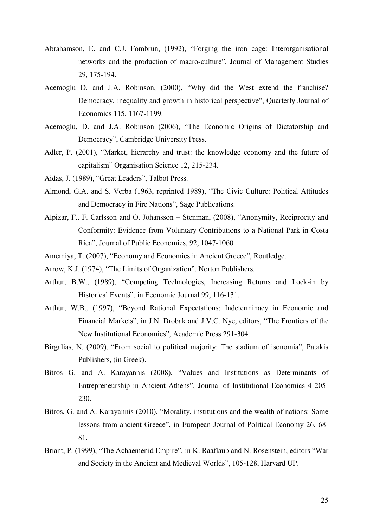- Abrahamson, E. and C.J. Fombrun, (1992), "Forging the iron cage: Interorganisational networks and the production of macro-culture", Journal of Management Studies 29, 175-194.
- Acemoglu D. and J.A. Robinson, (2000), "Why did the West extend the franchise? Democracy, inequality and growth in historical perspective", Quarterly Journal of Economics 115, 1167-1199.
- Acemoglu, D. and J.A. Robinson (2006), "The Economic Origins of Dictatorship and Democracy", Cambridge University Press.
- Adler, P. (2001), "Market, hierarchy and trust: the knowledge economy and the future of capitalism" Organisation Science 12, 215-234.
- Aidas, J. (1989), "Great Leaders", Talbot Press.
- Almond, G.A. and S. Verba (1963, reprinted 1989), "The Civic Culture: Political Attitudes and Democracy in Fire Nations", Sage Publications.
- Alpizar, F., F. Carlsson and O. Johansson Stenman, (2008), "Anonymity, Reciprocity and Conformity: Evidence from Voluntary Contributions to a National Park in Costa Rica", Journal of Public Economics, 92, 1047-1060.
- Amemiya, T. (2007), "Economy and Economics in Ancient Greece", Routledge.
- Arrow, K.J. (1974), "The Limits of Organization", Norton Publishers.
- Arthur, B.W., (1989), "Competing Technologies, Increasing Returns and Lock-in by Historical Events", in Economic Journal 99, 116-131.
- Arthur, W.B., (1997), "Beyond Rational Expectations: Indeterminacy in Economic and Financial Markets", in J.N. Drobak and J.V.C. Nye, editors, "The Frontiers of the New Institutional Economics", Academic Press 291-304.
- Birgalias, N. (2009), "From social to political majority: The stadium of isonomia", Patakis Publishers, (in Greek).
- Bitros G. and A. Karayannis (2008), "Values and Institutions as Determinants of Entrepreneurship in Ancient Athens", Journal of Institutional Economics 4 205- 230.
- Bitros, G. and A. Karayannis (2010), "Morality, institutions and the wealth of nations: Some lessons from ancient Greece", in European Journal of Political Economy 26, 68- 81.
- Briant, P. (1999), "The Achaemenid Empire", in K. Raaflaub and N. Rosenstein, editors "War and Society in the Ancient and Medieval Worlds", 105-128, Harvard UP.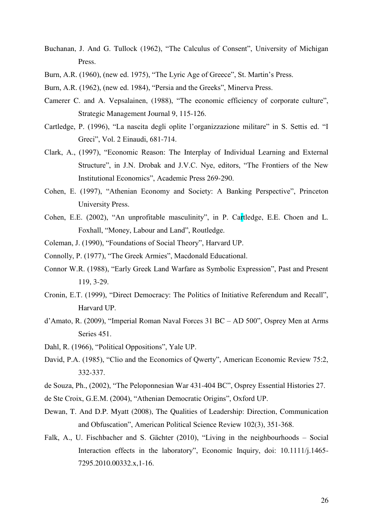- Buchanan, J. And G. Tullock (1962), "The Calculus of Consent", University of Michigan Press.
- Burn, A.R. (1960), (new ed. 1975), "The Lyric Age of Greece", St. Martin's Press.
- Burn, A.R. (1962), (new ed. 1984), "Persia and the Greeks", Minerva Press.
- Camerer C. and A. Vepsalainen, (1988), "The economic efficiency of corporate culture", Strategic Management Journal 9, 115-126.
- Cartledge, P. (1996), "La nascita degli oplite l'organizzazione militare" in S. Settis ed. "I Greci", Vol. 2 Einaudi, 681-714.
- Clark, A., (1997), "Economic Reason: The Interplay of Individual Learning and External Structure", in J.N. Drobak and J.V.C. Nye, editors, "The Frontiers of the New Institutional Economics", Academic Press 269-290.
- Cohen, E. (1997), "Athenian Economy and Society: A Banking Perspective", Princeton University Press.
- Cohen, E.E. (2002), "An unprofitable masculinity", in P. Cartledge, E.E. Choen and L. Foxhall, "Money, Labour and Land", Routledge.
- Coleman, J. (1990), "Foundations of Social Theory", Harvard UP.
- Connolly, P. (1977), "The Greek Armies", Macdonald Educational.
- Connor W.R. (1988), "Early Greek Land Warfare as Symbolic Expression", Past and Present 119, 3-29.
- Cronin, E.T. (1999), "Direct Democracy: The Politics of Initiative Referendum and Recall", Harvard UP.
- d'Amato, R. (2009), "Imperial Roman Naval Forces 31 BC AD 500", Osprey Men at Arms Series 451.
- Dahl, R. (1966), "Political Oppositions", Yale UP.
- David, P.A. (1985), "Clio and the Economics of Qwerty", American Economic Review 75:2, 332-337.
- de Souza, Ph., (2002), "The Peloponnesian War 431-404 BC", Osprey Essential Histories 27.
- de Ste Croix, G.E.M. (2004), "Athenian Democratic Origins", Oxford UP.
- Dewan, T. And D.P. Myatt (2008), The Qualities of Leadership: Direction, Communication and Obfuscation", American Political Science Review 102(3), 351-368.
- Falk, A., U. Fischbacher and S. Gächter (2010), "Living in the neighbourhoods Social Interaction effects in the laboratory", Economic Inquiry, doi: 10.1111/j.1465- 7295.2010.00332.x,1-16.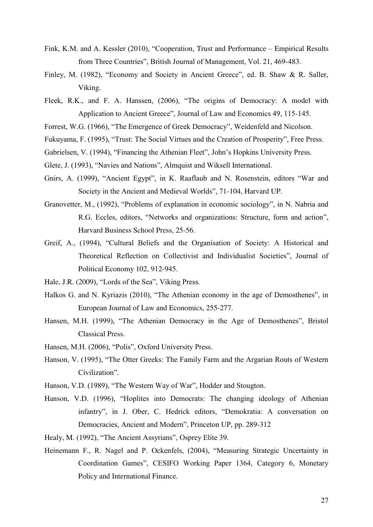- Fink, K.M. and A. Kessler (2010), "Cooperation, Trust and Performance Empirical Results from Three Countries", British Journal of Management, Vol. 21, 469-483.
- Finley, M. (1982), "Economy and Society in Ancient Greece", ed. B. Shaw & R. Saller, Viking.
- Fleek, R.K., and F. A. Hanssen, (2006), "The origins of Democracy: A model with Application to Ancient Greece", Journal of Law and Economics 49, 115-145.
- Forrest, W.G. (1966), "The Emergence of Greek Democracy", Weidenfeld and Nicolson.
- Fukuyama, F. (1995), "Trust: The Social Virtues and the Creation of Prosperity", Free Press.
- Gabrielsen, V. (1994), "Financing the Athenian Fleet", John's Hopkins University Press.
- Glete, J. (1993), "Navies and Nations", Almquist and Wiksell International.
- Gnirs, A. (1999), "Ancient Egypt", in K. Raaflaub and N. Rosenstein, editors "War and Society in the Ancient and Medieval Worlds", 71-104, Harvard UP.
- Granovetter, M., (1992), "Problems of explanation in economic sociology", in N. Nabria and R.G. Eccles, editors, "Networks and organizations: Structure, form and action", Harvard Business School Press, 25-56.
- Greif, A., (1994), "Cultural Beliefs and the Organisation of Society: A Historical and Theoretical Reflection on Collectivist and Individualist Societies", Journal of Political Economy 102, 912-945.
- Hale, J.R. (2009), "Lords of the Sea", Viking Press.
- Halkos G. and N. Kyriazis (2010), "The Athenian economy in the age of Demosthenes", in European Journal of Law and Economics, 255-277.
- Hansen, M.H. (1999), "The Athenian Democracy in the Age of Demosthenes", Bristol Classical Press.
- Hansen, M.H. (2006), "Polis", Oxford University Press.
- Hanson, V. (1995), "The Otter Greeks: The Family Farm and the Argarian Routs of Western Civilization".
- Hanson, V.D. (1989), "The Western Way of War", Hodder and Stougton.
- Hanson, V.D. (1996), "Hoplites into Democrats: The changing ideology of Athenian infantry", in J. Ober, C. Hedrick editors, "Demokratia: A conversation on Democracies, Ancient and Modern", Princeton UP, pp. 289-312
- Healy, M. (1992), "The Ancient Assyrians", Osprey Elite 39.
- Heinemann F., R. Nagel and P. Ockenfels, (2004), "Measuring Strategic Uncertainty in Coordination Games", CESIFO Working Paper 1364, Category 6, Monetary Policy and International Finance.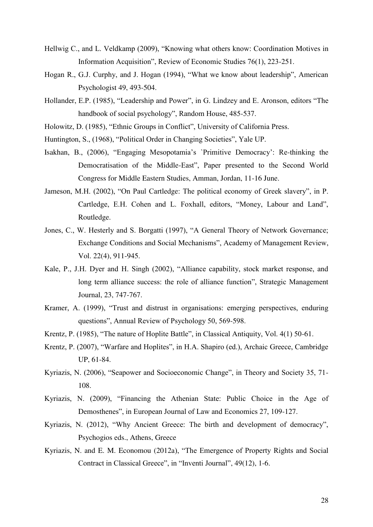- Hellwig C., and L. Veldkamp (2009), "Knowing what others know: Coordination Motives in Information Acquisition", Review of Economic Studies 76(1), 223-251.
- Hogan R., G.J. Curphy, and J. Hogan (1994), "What we know about leadership", American Psychologist 49, 493-504.
- Hollander, E.P. (1985), "Leadership and Power", in G. Lindzey and E. Aronson, editors "The handbook of social psychology", Random House, 485-537.
- Holowitz, D. (1985), "Ethnic Groups in Conflict", University of California Press.
- Huntington, S., (1968), "Political Order in Changing Societies", Yale UP.
- Isakhan, B., (2006), "Engaging Mesopotamia's `Primitive Democracy': Re-thinking the Democratisation of the Middle-East", Paper presented to the Second World Congress for Middle Eastern Studies, Amman, Jordan, 11-16 June.
- Jameson, M.H. (2002), "On Paul Cartledge: The political economy of Greek slavery", in P. Cartledge, E.H. Cohen and L. Foxhall, editors, "Money, Labour and Land", Routledge.
- Jones, C., W. Hesterly and S. Borgatti (1997), "A General Theory of Network Governance; Exchange Conditions and Social Mechanisms", Academy of Management Review, Vol. 22(4), 911-945.
- Kale, P., J.H. Dyer and H. Singh (2002), "Alliance capability, stock market response, and long term alliance success: the role of alliance function", Strategic Management Journal, 23, 747-767.
- Kramer, A. (1999), "Trust and distrust in organisations: emerging perspectives, enduring questions", Annual Review of Psychology 50, 569-598.
- Krentz, P. (1985), "The nature of Hoplite Battle", in Classical Antiquity, Vol. 4(1) 50-61.
- Krentz, P. (2007), "Warfare and Hoplites", in H.A. Shapiro (ed.), Archaic Greece, Cambridge UP, 61-84.
- Kyriazis, N. (2006), "Seapower and Socioeconomic Change", in Theory and Society 35, 71- 108.
- Kyriazis, N. (2009), "Financing the Athenian State: Public Choice in the Age of Demosthenes", in European Journal of Law and Economics 27, 109-127.
- Kyriazis, N. (2012), "Why Ancient Greece: The birth and development of democracy", Psychogios eds., Athens, Greece
- Kyriazis, N. and E. M. Economou (2012a), "The Emergence of Property Rights and Social Contract in Classical Greece", in "Inventi Journal", 49(12), 1-6.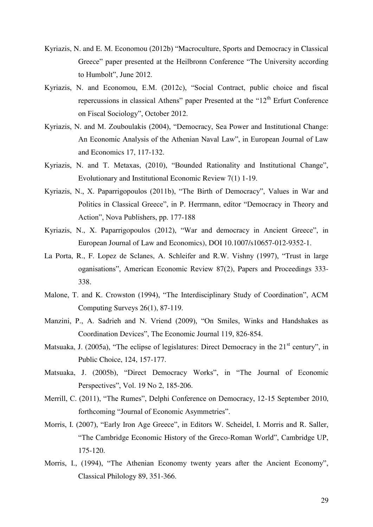- Kyriazis, N. and E. M. Economou (2012b) "Macroculture, Sports and Democracy in Classical Greece" paper presented at the Heilbronn Conference "The University according to Humbolt", June 2012.
- Kyriazis, N. and Economou, E.M. (2012c), "Social Contract, public choice and fiscal repercussions in classical Athens" paper Presented at the "12<sup>th</sup> Erfurt Conference on Fiscal Sociology", October 2012.
- Kyriazis, N. and M. Zouboulakis (2004), "Democracy, Sea Power and Institutional Change: An Economic Analysis of the Athenian Naval Law", in European Journal of Law and Economics 17, 117-132.
- Kyriazis, N. and T. Metaxas, (2010), "Bounded Rationality and Institutional Change", Evolutionary and Institutional Economic Review 7(1) 1-19.
- Kyriazis, N., X. Paparrigopoulos (2011b), "The Birth of Democracy", Values in War and Politics in Classical Greece", in P. Herrmann, editor "Democracy in Theory and Action", Nova Publishers, pp. 177-188
- Kyriazis, N., X. Paparrigopoulos (2012), "War and democracy in Ancient Greece", in European Journal of Law and Economics), DOI 10.1007/s10657-012-9352-1.
- La Porta, R., F. Lopez de Sclanes, A. Schleifer and R.W. Vishny (1997), "Trust in large oganisations", American Economic Review 87(2), Papers and Proceedings 333- 338.
- Malone, T. and K. Crowston (1994), "The Interdisciplinary Study of Coordination", ACM Computing Surveys 26(1), 87-119.
- Manzini, P., A. Sadrieh and N. Vriend (2009), "On Smiles, Winks and Handshakes as Coordination Devices", The Economic Journal 119, 826-854.
- Matsuaka, J. (2005a), "The eclipse of legislatures: Direct Democracy in the  $21<sup>st</sup>$  century", in Public Choice, 124, 157-177.
- Matsuaka, J. (2005b), "Direct Democracy Works", in "The Journal of Economic Perspectives", Vol. 19 No 2, 185-206.
- Merrill, C. (2011), "The Rumes", Delphi Conference on Democracy, 12-15 September 2010, forthcoming "Journal of Economic Asymmetries".
- Morris, I. (2007), "Early Iron Age Greece", in Editors W. Scheidel, I. Morris and R. Saller, "The Cambridge Economic History of the Greco-Roman World", Cambridge UP, 175-120.
- Morris, I., (1994), "The Athenian Economy twenty years after the Ancient Economy", Classical Philology 89, 351-366.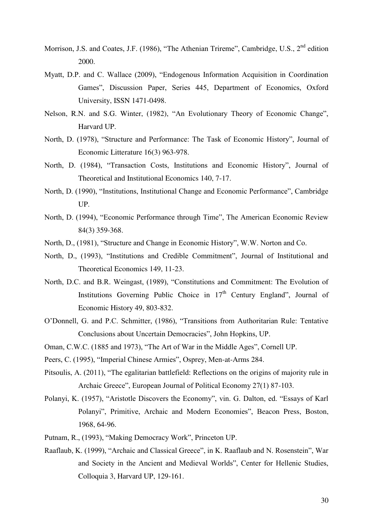- Morrison, J.S. and Coates, J.F. (1986), "The Athenian Trireme", Cambridge, U.S., 2<sup>nd</sup> edition 2000.
- Myatt, D.P. and C. Wallace (2009), "Endogenous Information Acquisition in Coordination Games", Discussion Paper, Series 445, Department of Economics, Oxford University, ISSN 1471-0498.
- Nelson, R.N. and S.G. Winter, (1982), "An Evolutionary Theory of Economic Change", Harvard UP.
- North, D. (1978), "Structure and Performance: The Task of Economic History", Journal of Economic Litterature 16(3) 963-978.
- North, D. (1984), "Transaction Costs, Institutions and Economic History", Journal of Theoretical and Institutional Economics 140, 7-17.
- North, D. (1990), "Institutions, Institutional Change and Economic Performance", Cambridge UP.
- North, D. (1994), "Economic Performance through Time", The American Economic Review 84(3) 359-368.
- North, D., (1981), "Structure and Change in Economic History", W.W. Norton and Co.
- North, D., (1993), "Institutions and Credible Commitment", Journal of Institutional and Theoretical Economics 149, 11-23.
- North, D.C. and B.R. Weingast, (1989), "Constitutions and Commitment: The Evolution of Institutions Governing Public Choice in  $17<sup>th</sup>$  Century England", Journal of Economic History 49, 803-832.
- O'Donnell, G. and P.C. Schmitter, (1986), "Transitions from Authoritarian Rule: Tentative Conclusions about Uncertain Democracies", John Hopkins, UP.
- Oman, C.W.C. (1885 and 1973), "The Art of War in the Middle Ages", Cornell UP.
- Peers, C. (1995), "Imperial Chinese Armies", Osprey, Men-at-Arms 284.
- Pitsoulis, A. (2011), "The egalitarian battlefield: Reflections on the origins of majority rule in Archaic Greece", European Journal of Political Economy 27(1) 87-103.
- Polanyi, K. (1957), "Aristotle Discovers the Economy", vin. G. Dalton, ed. "Essays of Karl Polanyi", Primitive, Archaic and Modern Economies", Beacon Press, Boston, 1968, 64-96.
- Putnam, R., (1993), "Making Democracy Work", Princeton UP.
- Raaflaub, K. (1999), "Archaic and Classical Greece", in K. Raaflaub and N. Rosenstein", War and Society in the Ancient and Medieval Worlds", Center for Hellenic Studies, Colloquia 3, Harvard UP, 129-161.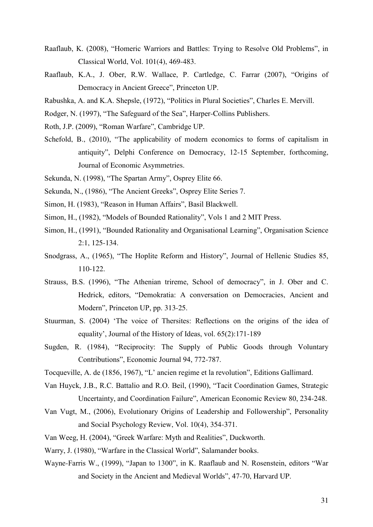- Raaflaub, K. (2008), "Homeric Warriors and Battles: Trying to Resolve Old Problems", in Classical World, Vol. 101(4), 469-483.
- Raaflaub, K.A., J. Ober, R.W. Wallace, P. Cartledge, C. Farrar (2007), "Origins of Democracy in Ancient Greece", Princeton UP.
- Rabushka, A. and K.A. Shepsle, (1972), "Politics in Plural Societies", Charles E. Mervill.
- Rodger, N. (1997), "The Safeguard of the Sea", Harper-Collins Publishers.
- Roth, J.P. (2009), "Roman Warfare", Cambridge UP.
- Schefold, B., (2010), "The applicability of modern economics to forms of capitalism in antiquity", Delphi Conference on Democracy, 12-15 September, forthcoming, Journal of Economic Asymmetries.
- Sekunda, N. (1998), "The Spartan Army", Osprey Elite 66.
- Sekunda, N., (1986), "The Ancient Greeks", Osprey Elite Series 7.
- Simon, H. (1983), "Reason in Human Affairs", Basil Blackwell.
- Simon, H., (1982), "Models of Bounded Rationality", Vols 1 and 2 MIT Press.
- Simon, H., (1991), "Bounded Rationality and Organisational Learning", Organisation Science 2:1, 125-134.
- Snodgrass, A., (1965), "The Hoplite Reform and History", Journal of Hellenic Studies 85, 110-122.
- Strauss, B.S. (1996), "The Athenian trireme, School of democracy", in J. Ober and C. Hedrick, editors, "Demokratia: A conversation on Democracies, Ancient and Modern", Princeton UP, pp. 313-25.
- Stuurman, S. (2004) 'The voice of Thersites: Reflections on the origins of the idea of equality', Journal of the History of Ideas, vol. 65(2):171-189
- Sugden, R. (1984), "Reciprocity: The Supply of Public Goods through Voluntary Contributions", Economic Journal 94, 772-787.
- Tocqueville, A. de (1856, 1967), "L' ancien regime et la revolution", Editions Gallimard.
- Van Huyck, J.B., R.C. Battalio and R.O. Beil, (1990), "Tacit Coordination Games, Strategic Uncertainty, and Coordination Failure", American Economic Review 80, 234-248.
- Van Vugt, M., (2006), Evolutionary Origins of Leadership and Followership", Personality and Social Psychology Review, Vol. 10(4), 354-371.
- Van Weeg, H. (2004), "Greek Warfare: Myth and Realities", Duckworth.
- Warry, J. (1980), "Warfare in the Classical World", Salamander books.
- Wayne-Farris W., (1999), "Japan to 1300", in K. Raaflaub and N. Rosenstein, editors "War and Society in the Ancient and Medieval Worlds", 47-70, Harvard UP.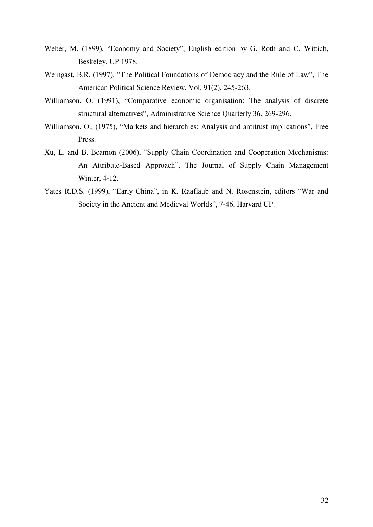- Weber, M. (1899), "Economy and Society", English edition by G. Roth and C. Wittich, Beskeley, UP 1978.
- Weingast, B.R. (1997), "The Political Foundations of Democracy and the Rule of Law", The American Political Science Review, Vol. 91(2), 245-263.
- Williamson, O. (1991), "Comparative economic organisation: The analysis of discrete structural alternatives", Administrative Science Quarterly 36, 269-296.
- Williamson, O., (1975), "Markets and hierarchies: Analysis and antitrust implications", Free Press.
- Xu, L. and B. Beamon (2006), "Supply Chain Coordination and Cooperation Mechanisms: An Attribute-Based Approach", The Journal of Supply Chain Management Winter, 4-12.
- Yates R.D.S. (1999), "Early China", in K. Raaflaub and N. Rosenstein, editors "War and Society in the Ancient and Medieval Worlds", 7-46, Harvard UP.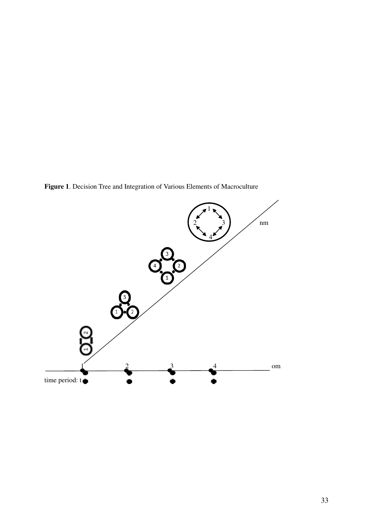**Figure 1**. Decision Tree and Integration of Various Elements of Macroculture

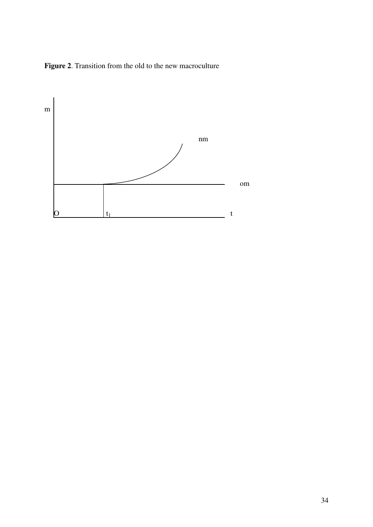**Figure 2**. Transition from the old to the new macroculture

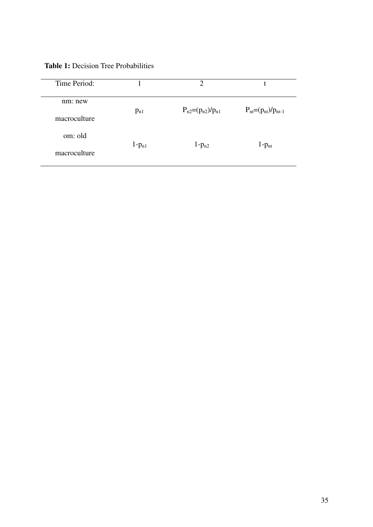**Table 1:** Decision Tree Probabilities

| Time Period:            |            | $\overline{2}$           |                            |
|-------------------------|------------|--------------------------|----------------------------|
| nm: new<br>macroculture | $p_{n1}$   | $P_{n2}=(p_{n2})/p_{n1}$ | $P_{nt}=(p_{nt})/p_{nt-1}$ |
| om: old                 |            |                          |                            |
| macroculture            | $1-p_{n1}$ | $1-p_{n2}$               | $1-p_{nt}$                 |